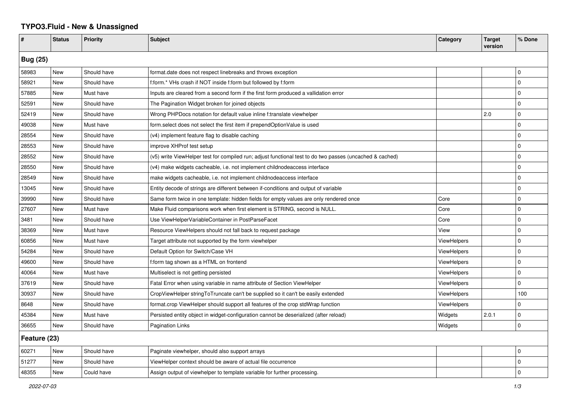## **TYPO3.Fluid - New & Unassigned**

| #               | <b>Status</b> | <b>Priority</b> | <b>Subject</b>                                                                                           | Category           | <b>Target</b><br>version | % Done      |  |  |
|-----------------|---------------|-----------------|----------------------------------------------------------------------------------------------------------|--------------------|--------------------------|-------------|--|--|
| <b>Bug (25)</b> |               |                 |                                                                                                          |                    |                          |             |  |  |
| 58983           | New           | Should have     | format.date does not respect linebreaks and throws exception                                             |                    |                          | $\Omega$    |  |  |
| 58921           | New           | Should have     | f:form.* VHs crash if NOT inside f:form but followed by f:form                                           |                    |                          | $\Omega$    |  |  |
| 57885           | New           | Must have       | Inputs are cleared from a second form if the first form produced a vallidation error                     |                    |                          | $\Omega$    |  |  |
| 52591           | New           | Should have     | The Pagination Widget broken for joined objects                                                          |                    |                          | $\Omega$    |  |  |
| 52419           | New           | Should have     | Wrong PHPDocs notation for default value inline f:translate viewhelper                                   |                    | 2.0                      | $\Omega$    |  |  |
| 49038           | New           | Must have       | form.select does not select the first item if prependOptionValue is used                                 |                    |                          | $\Omega$    |  |  |
| 28554           | New           | Should have     | (v4) implement feature flag to disable caching                                                           |                    |                          | $\Omega$    |  |  |
| 28553           | New           | Should have     | improve XHProf test setup                                                                                |                    |                          | $\mathbf 0$ |  |  |
| 28552           | New           | Should have     | (v5) write ViewHelper test for compiled run; adjust functional test to do two passes (uncached & cached) |                    |                          | $\Omega$    |  |  |
| 28550           | New           | Should have     | (v4) make widgets cacheable, i.e. not implement childnodeaccess interface                                |                    |                          | $\mathbf 0$ |  |  |
| 28549           | New           | Should have     | make widgets cacheable, i.e. not implement childnodeaccess interface                                     |                    |                          | $\Omega$    |  |  |
| 13045           | New           | Should have     | Entity decode of strings are different between if-conditions and output of variable                      |                    |                          | $\Omega$    |  |  |
| 39990           | New           | Should have     | Same form twice in one template: hidden fields for empty values are only rendered once                   | Core               |                          | $\Omega$    |  |  |
| 27607           | New           | Must have       | Make Fluid comparisons work when first element is STRING, second is NULL.                                | Core               |                          | $\Omega$    |  |  |
| 3481            | <b>New</b>    | Should have     | Use ViewHelperVariableContainer in PostParseFacet                                                        | Core               |                          | $\mathbf 0$ |  |  |
| 38369           | New           | Must have       | Resource ViewHelpers should not fall back to request package                                             | View               |                          | $\Omega$    |  |  |
| 60856           | New           | Must have       | Target attribute not supported by the form viewhelper                                                    | <b>ViewHelpers</b> |                          | $\Omega$    |  |  |
| 54284           | New           | Should have     | Default Option for Switch/Case VH                                                                        | <b>ViewHelpers</b> |                          | $\Omega$    |  |  |
| 49600           | New           | Should have     | f:form tag shown as a HTML on frontend                                                                   | <b>ViewHelpers</b> |                          | $\Omega$    |  |  |
| 40064           | New           | Must have       | Multiselect is not getting persisted                                                                     | <b>ViewHelpers</b> |                          | $\mathbf 0$ |  |  |
| 37619           | New           | Should have     | Fatal Error when using variable in name attribute of Section ViewHelper                                  | ViewHelpers        |                          | $\mathbf 0$ |  |  |
| 30937           | New           | Should have     | CropViewHelper stringToTruncate can't be supplied so it can't be easily extended                         | <b>ViewHelpers</b> |                          | 100         |  |  |
| 8648            | New           | Should have     | format.crop ViewHelper should support all features of the crop stdWrap function                          | <b>ViewHelpers</b> |                          | $\Omega$    |  |  |
| 45384           | New           | Must have       | Persisted entity object in widget-configuration cannot be deserialized (after reload)                    | Widgets            | 2.0.1                    | $\Omega$    |  |  |
| 36655           | <b>New</b>    | Should have     | <b>Pagination Links</b>                                                                                  | Widgets            |                          | $\mathbf 0$ |  |  |
| Feature (23)    |               |                 |                                                                                                          |                    |                          |             |  |  |
| 60271           | New           | Should have     | Paginate viewhelper, should also support arrays                                                          |                    |                          | $\Omega$    |  |  |
| 51277           | New           | Should have     | ViewHelper context should be aware of actual file occurrence                                             |                    |                          | $\Omega$    |  |  |
| 48355           | <b>New</b>    | Could have      | Assign output of viewhelper to template variable for further processing.                                 |                    |                          | $\Omega$    |  |  |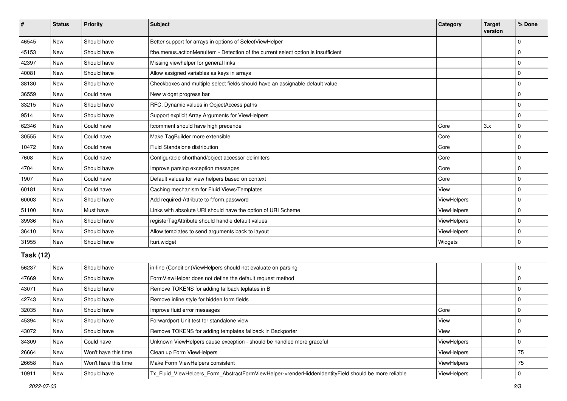| #                | <b>Status</b> | <b>Priority</b>      | <b>Subject</b>                                                                                      | Category    | <b>Target</b><br>version | % Done      |  |  |
|------------------|---------------|----------------------|-----------------------------------------------------------------------------------------------------|-------------|--------------------------|-------------|--|--|
| 46545            | New           | Should have          | Better support for arrays in options of SelectViewHelper                                            |             |                          | $\mathbf 0$ |  |  |
| 45153            | New           | Should have          | f:be.menus.actionMenuItem - Detection of the current select option is insufficient                  |             |                          | 0           |  |  |
| 42397            | New           | Should have          | Missing viewhelper for general links                                                                |             |                          | $\mathbf 0$ |  |  |
| 40081            | New           | Should have          | Allow assigned variables as keys in arrays                                                          |             |                          | $\mathbf 0$ |  |  |
| 38130            | New           | Should have          | Checkboxes and multiple select fields should have an assignable default value                       |             |                          | $\pmb{0}$   |  |  |
| 36559            | New           | Could have           | New widget progress bar                                                                             |             |                          | $\mathbf 0$ |  |  |
| 33215            | <b>New</b>    | Should have          | RFC: Dynamic values in ObjectAccess paths                                                           |             |                          | $\mathbf 0$ |  |  |
| 9514             | New           | Should have          | Support explicit Array Arguments for ViewHelpers                                                    |             |                          | 0           |  |  |
| 62346            | New           | Could have           | f:comment should have high precende                                                                 | Core        | 3.x                      | $\pmb{0}$   |  |  |
| 30555            | New           | Could have           | Make TagBuilder more extensible                                                                     | Core        |                          | $\pmb{0}$   |  |  |
| 10472            | New           | Could have           | Fluid Standalone distribution                                                                       | Core        |                          | $\mathbf 0$ |  |  |
| 7608             | <b>New</b>    | Could have           | Configurable shorthand/object accessor delimiters                                                   | Core        |                          | 0           |  |  |
| 4704             | New           | Should have          | Improve parsing exception messages                                                                  | Core        |                          | $\pmb{0}$   |  |  |
| 1907             | New           | Could have           | Default values for view helpers based on context                                                    | Core        |                          | $\mathbf 0$ |  |  |
| 60181            | New           | Could have           | Caching mechanism for Fluid Views/Templates                                                         | View        |                          | $\pmb{0}$   |  |  |
| 60003            | New           | Should have          | Add required-Attribute to f:form.password                                                           | ViewHelpers |                          | $\pmb{0}$   |  |  |
| 51100            | <b>New</b>    | Must have            | Links with absolute URI should have the option of URI Scheme                                        | ViewHelpers |                          | 0           |  |  |
| 39936            | New           | Should have          | registerTagAttribute should handle default values                                                   | ViewHelpers |                          | $\pmb{0}$   |  |  |
| 36410            | New           | Should have          | Allow templates to send arguments back to layout                                                    | ViewHelpers |                          | $\pmb{0}$   |  |  |
| 31955            | <b>New</b>    | Should have          | f:uri.widget                                                                                        | Widgets     |                          | $\mathbf 0$ |  |  |
| <b>Task (12)</b> |               |                      |                                                                                                     |             |                          |             |  |  |
| 56237            | New           | Should have          | in-line (Condition) ViewHelpers should not evaluate on parsing                                      |             |                          | 0           |  |  |
| 47669            | <b>New</b>    | Should have          | FormViewHelper does not define the default request method                                           |             |                          | $\mathbf 0$ |  |  |
| 43071            | New           | Should have          | Remove TOKENS for adding fallback teplates in B                                                     |             |                          | $\mathbf 0$ |  |  |
| 42743            | New           | Should have          | Remove inline style for hidden form fields                                                          |             |                          | $\mathbf 0$ |  |  |
| 32035            | New           | Should have          | Improve fluid error messages                                                                        | Core        |                          | $\pmb{0}$   |  |  |
| 45394            | New           | Should have          | Forwardport Unit test for standalone view                                                           | View        |                          | 0           |  |  |
| 43072            | New           | Should have          | Remove TOKENS for adding templates fallback in Backporter                                           | View        |                          | 0           |  |  |
| 34309            | New           | Could have           | Unknown ViewHelpers cause exception - should be handled more graceful                               | ViewHelpers |                          | 0           |  |  |
| 26664            | New           | Won't have this time | Clean up Form ViewHelpers                                                                           | ViewHelpers |                          | 75          |  |  |
| 26658            | New           | Won't have this time | Make Form ViewHelpers consistent                                                                    | ViewHelpers |                          | 75          |  |  |
| 10911            | New           | Should have          | Tx_Fluid_ViewHelpers_Form_AbstractFormViewHelper->renderHiddenIdentityField should be more reliable | ViewHelpers |                          | $\pmb{0}$   |  |  |